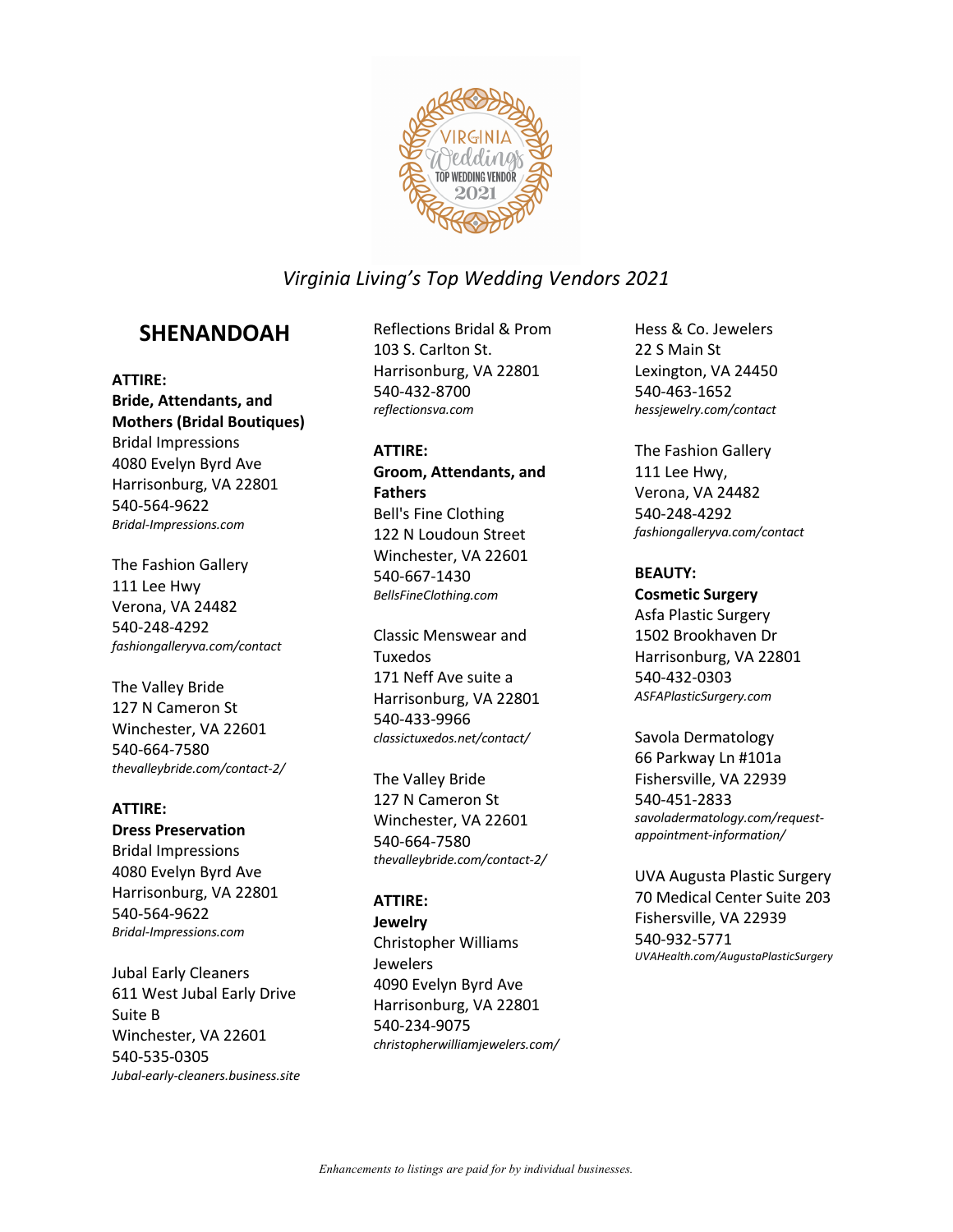

## **SHENANDOAH**

**ATTIRE: Bride, Attendants, and Mothers (Bridal Boutiques)** Bridal Impressions 4080 Evelyn Byrd Ave Harrisonburg, VA 22801 540-564-9622 *Bridal-Impressions.com*

The Fashion Gallery 111 Lee Hwy Verona, VA 24482 540-248-4292 *fashiongalleryva.com/contact*

The Valley Bride 127 N Cameron St Winchester, VA 22601 540-664-7580 *thevalleybride.com/contact-2/*

#### **ATTIRE:**

**Dress Preservation** Bridal Impressions 4080 Evelyn Byrd Ave

Harrisonburg, VA 22801 540-564-9622 *Bridal-Impressions.com*

Jubal Early Cleaners 611 West Jubal Early Drive Suite B Winchester, VA 22601 540-535-0305 *Jubal-early-cleaners.business.site*

Reflections Bridal & Prom 103 S. Carlton St. Harrisonburg, VA 22801 540-432-8700 *reflectionsva.com*

#### **ATTIRE:**

**Groom, Attendants, and Fathers** Bell's Fine Clothing 122 N Loudoun Street Winchester, VA 22601 540-667-1430 *BellsFineClothing.com*

Classic Menswear and Tuxedos 171 Neff Ave suite a Harrisonburg, VA 22801 540-433-9966 *classictuxedos.net/contact/*

The Valley Bride 127 N Cameron St Winchester, VA 22601 540-664-7580 *thevalleybride.com/contact-2/*

**ATTIRE:**

**Jewelry**

Christopher Williams Jewelers 4090 Evelyn Byrd Ave Harrisonburg, VA 22801 540-234-9075 *christopherwilliamjewelers.com/* Hess & Co. Jewelers 22 S Main St Lexington, VA 24450 540-463-1652 *hessjewelry.com/contact*

The Fashion Gallery 111 Lee Hwy, Verona, VA 24482 540-248-4292 *fashiongalleryva.com/contact*

### **BEAUTY:**

**Cosmetic Surgery** Asfa Plastic Surgery 1502 Brookhaven Dr Harrisonburg, VA 22801 540-432-0303 *ASFAPlasticSurgery.com*

Savola Dermatology 66 Parkway Ln #101a Fishersville, VA 22939 540-451-2833 *savoladermatology.com/requestappointment-information/*

UVA Augusta Plastic Surgery 70 Medical Center Suite 203 Fishersville, VA 22939 540-932-5771 *UVAHealth.com/AugustaPlasticSurgery*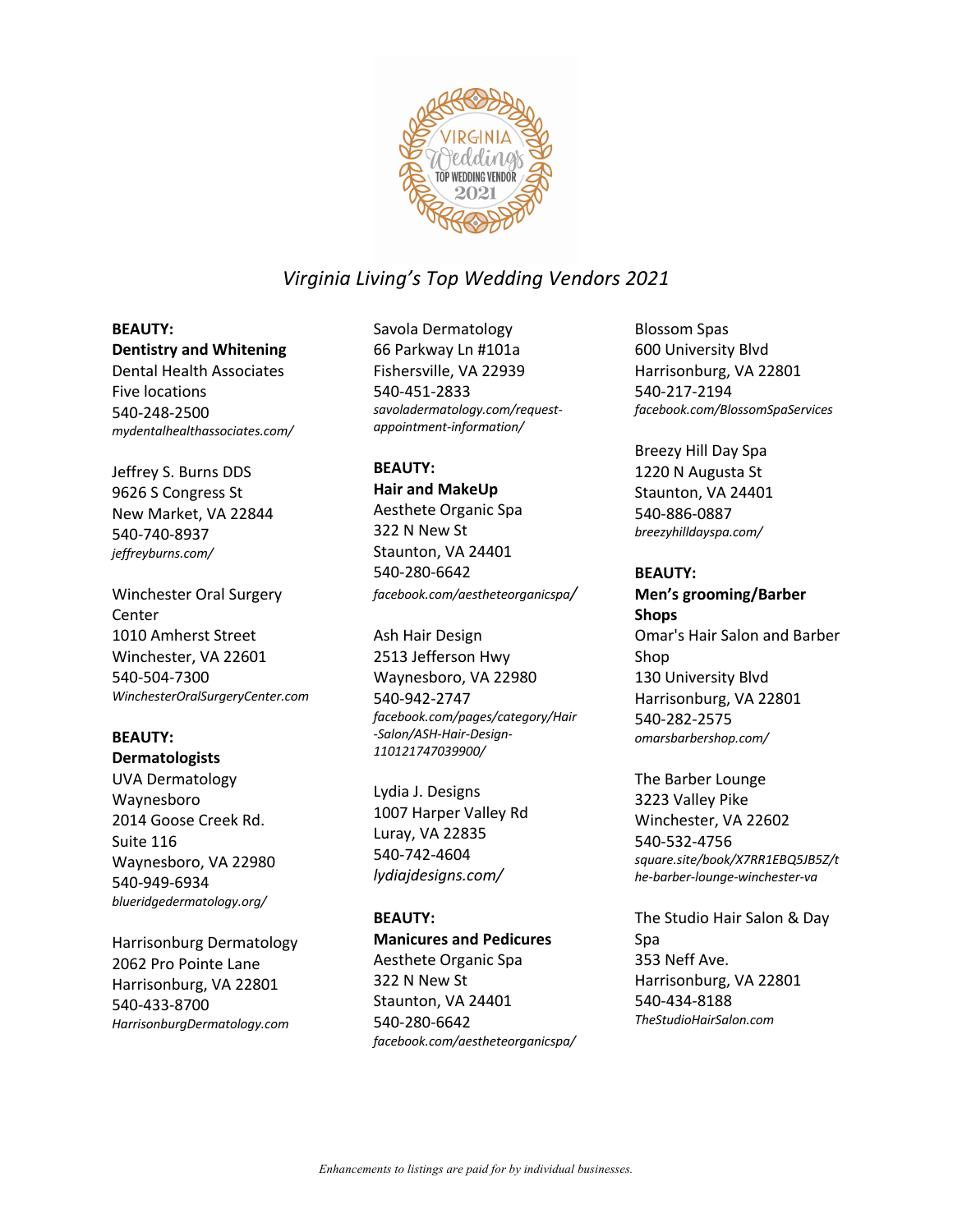

### **BEAUTY:**

**Dentistry and Whitening** Dental Health Associates Five locations 540-248-2500 *mydentalhealthassociates.com/*

Jeffrey S. Burns DDS 9626 S Congress St New Market, VA 22844 540-740-8937 *jeffreyburns.com/*

Winchester Oral Surgery Center 1010 Amherst Street Winchester, VA 22601 540-504-7300 *WinchesterOralSurgeryCenter.com*

## **BEAUTY:**

**Dermatologists** UVA Dermatology Waynesboro 2014 Goose Creek Rd. Suite 116

Waynesboro, VA 22980 540-949-6934 *blueridgedermatology.org/*

Harrisonburg Dermatology 2062 Pro Pointe Lane Harrisonburg, VA 22801 540-433-8700 *HarrisonburgDermatology.com*

Savola Dermatology 66 Parkway Ln #101a Fishersville, VA 22939 540-451-2833 *savoladermatology.com/requestappointment-information/*

#### **BEAUTY:**

**Hair and MakeUp** Aesthete Organic Spa 322 N New St Staunton, VA 24401 540-280-6642 *facebook.com/aestheteorganicspa/*

Ash Hair Design 2513 Jefferson Hwy Waynesboro, VA 22980 540-942-2747 *facebook.com/pages/category/Hair -Salon/ASH-Hair-Design-110121747039900/*

Lydia J. Designs 1007 Harper Valley Rd Luray, VA 22835 540-742-4604 *lydiajdesigns.com/*

### **BEAUTY:**

**Manicures and Pedicures** Aesthete Organic Spa 322 N New St Staunton, VA 24401 540-280-6642 *facebook.com/aestheteorganicspa/*

Blossom Spas 600 University Blvd Harrisonburg, VA 22801 540-217-2194 *facebook.com/BlossomSpaServices*

Breezy Hill Day Spa 1220 N Augusta St Staunton, VA 24401 540-886-0887 *breezyhilldayspa.com/*

#### **BEAUTY:**

**Men's grooming/Barber Shops** Omar's Hair Salon and Barber Shop 130 University Blvd Harrisonburg, VA 22801 540-282-2575 *omarsbarbershop.com/*

The Barber Lounge 3223 Valley Pike Winchester, VA 22602 540-532-4756 *square.site/book/X7RR1EBQ5JB5Z/t he-barber-lounge-winchester-va*

The Studio Hair Salon & Day Spa 353 Neff Ave. Harrisonburg, VA 22801 540-434-8188 *TheStudioHairSalon.com*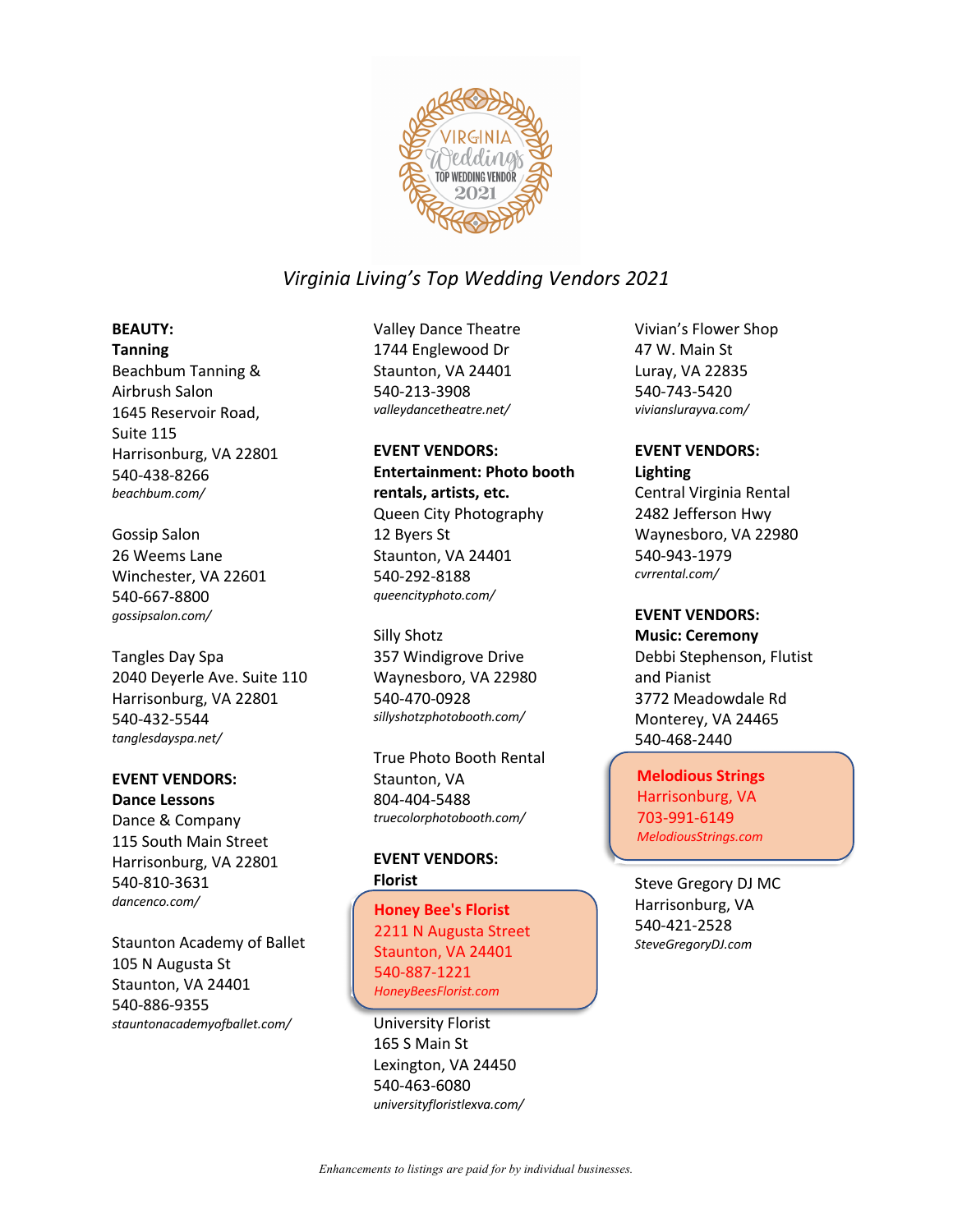

## **BEAUTY:**

**Tanning** Beachbum Tanning & Airbrush Salon 1645 Reservoir Road, Suite 115 Harrisonburg, VA 22801 540-438-8266 *beachbum.com/*

#### Gossip Salon

26 Weems Lane Winchester, VA 22601 540-667-8800 *gossipsalon.com/*

Tangles Day Spa 2040 Deyerle Ave. Suite 110 Harrisonburg, VA 22801 540-432-5544 *tanglesdayspa.net/*

## **EVENT VENDORS:**

**Dance Lessons** Dance & Company 115 South Main Street Harrisonburg, VA 22801 540-810-3631 *dancenco.com/*

Staunton Academy of Ballet 105 N Augusta St Staunton, VA 24401 540-886-9355 *stauntonacademyofballet.com/*

Valley Dance Theatre 1744 Englewood Dr Staunton, VA 24401 540-213-3908 *valleydancetheatre.net/*

### **EVENT VENDORS: Entertainment: Photo booth rentals, artists, etc.** Queen City Photography 12 Byers St Staunton, VA 24401 540-292-8188 *queencityphoto.com/*

Silly Shotz 357 Windigrove Drive Waynesboro, VA 22980 540-470-0928 *sillyshotzphotobooth.com/*

True Photo Booth Rental Staunton, VA 804-404-5488 *truecolorphotobooth.com/*

#### **EVENT VENDORS: Florist**

Honey Bee's Florist **Honey Bee's Florist** 2211 N Augusta Street 2211 N Augusta Street Staunton, VA 24401 Staunton, VA 24401 540-887-1221 540-887-1221 *HoneyBeesFlorist.com HoneyBeesFlorist.com*

University Florist 165 S Main St Lexington, VA 24450 540-463-6080 *universityfloristlexva.com/*

Vivian's Flower Shop 47 W. Main St Luray, VA 22835 540-743-5420 *vivianslurayva.com/*

#### **EVENT VENDORS: Lighting**

Central Virginia Rental 2482 Jefferson Hwy Waynesboro, VA 22980 540-943-1979 *cvrrental.com/*

### **EVENT VENDORS:**

**Music: Ceremony** Debbi Stephenson, Flutist and Pianist 3772 Meadowdale Rd Monterey, VA 24465 540-468-2440

Melodious Strings **Melodious Strings** Harrisonburg, VA Harrisonburg, VA 703-991-6149 703-991-6149 *MelodiousStrings.com MelodiousStrings.com*

Steve Gregory DJ MC Harrisonburg, VA 540-421-2528 *SteveGregoryDJ.com*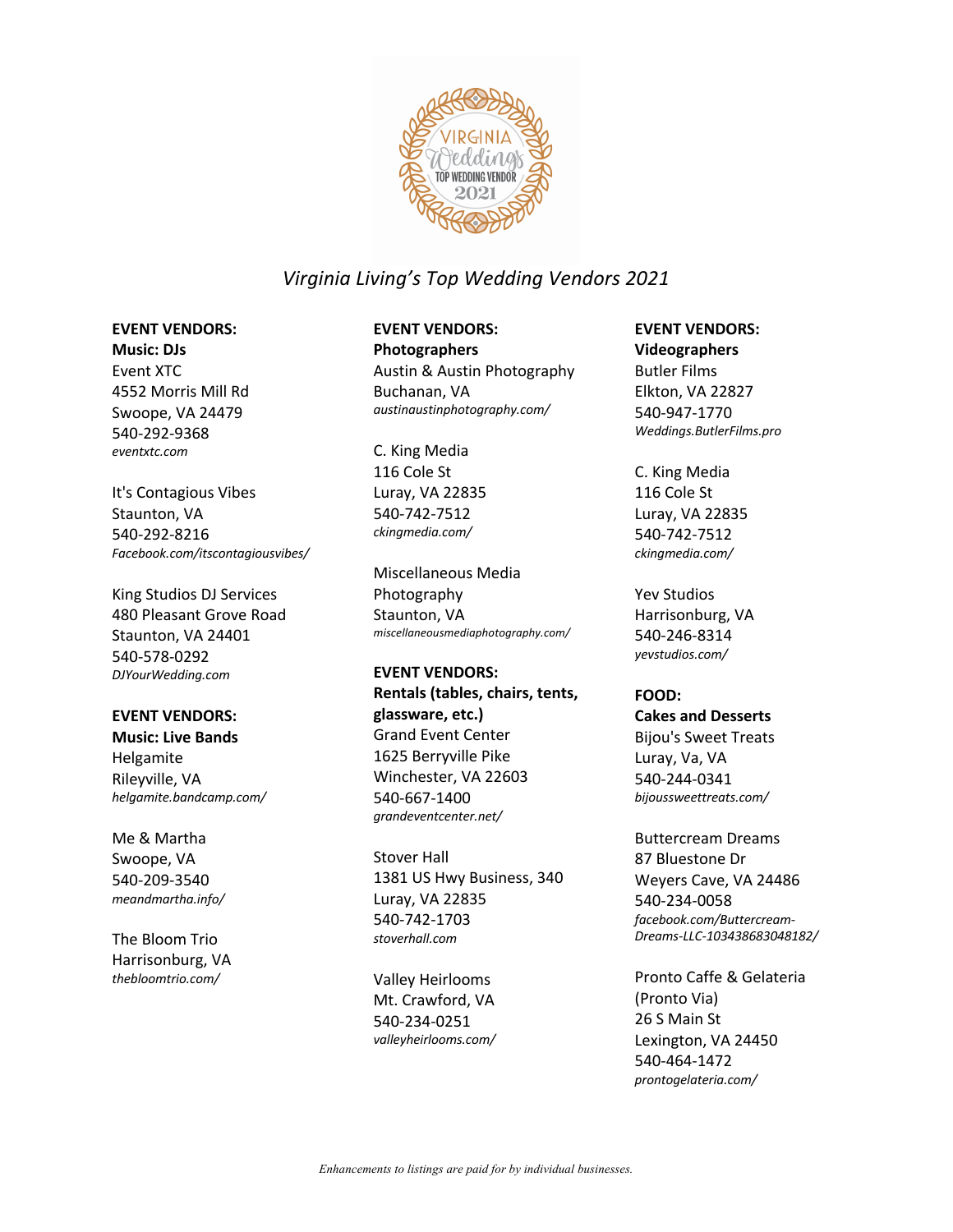

#### **EVENT VENDORS:**

**Music: DJs** Event XTC 4552 Morris Mill Rd Swoope, VA 24479 540-292-9368 *eventxtc.com*

It's Contagious Vibes Staunton, VA 540-292-8216 *Facebook.com/itscontagiousvibes/*

King Studios DJ Services 480 Pleasant Grove Road Staunton, VA 24401 540-578-0292 *DJYourWedding.com*

### **EVENT VENDORS:**

**Music: Live Bands** Helgamite Rileyville, VA *helgamite.bandcamp.com/* 

Me & Martha Swoope, VA 540-209-3540 *meandmartha.info/*

The Bloom Trio Harrisonburg, VA *thebloomtrio.com/*

# **EVENT VENDORS:**

**Photographers** Austin & Austin Photography Buchanan, VA *austinaustinphotography.com/*

C. King Media 116 Cole St Luray, VA 22835 540-742-7512 *ckingmedia.com/*

Miscellaneous Media Photography Staunton, VA *miscellaneousmediaphotography.com/*

### **EVENT VENDORS:**

**Rentals (tables, chairs, tents, glassware, etc.)** Grand Event Center 1625 Berryville Pike Winchester, VA 22603 540-667-1400 *grandeventcenter.net/*

Stover Hall 1381 US Hwy Business, 340 Luray, VA 22835 540-742-1703 *stoverhall.com*

Valley Heirlooms Mt. Crawford, VA 540-234-0251 *valleyheirlooms.com/*

## **EVENT VENDORS:**

**Videographers** Butler Films Elkton, VA 22827 540-947-1770 *Weddings.ButlerFilms.pro*

C. King Media 116 Cole St Luray, VA 22835 540-742-7512 *ckingmedia.com/*

Yev Studios Harrisonburg, VA 540-246-8314 *yevstudios.com/*

**FOOD: Cakes and Desserts** Bijou's Sweet Treats Luray, Va, VA 540-244-0341 *bijoussweettreats.com/*

Buttercream Dreams 87 Bluestone Dr Weyers Cave, VA 24486 540-234-0058 *facebook.com/Buttercream-Dreams-LLC-103438683048182/*

Pronto Caffe & Gelateria (Pronto Via) 26 S Main St Lexington, VA 24450 540-464-1472 *prontogelateria.com/*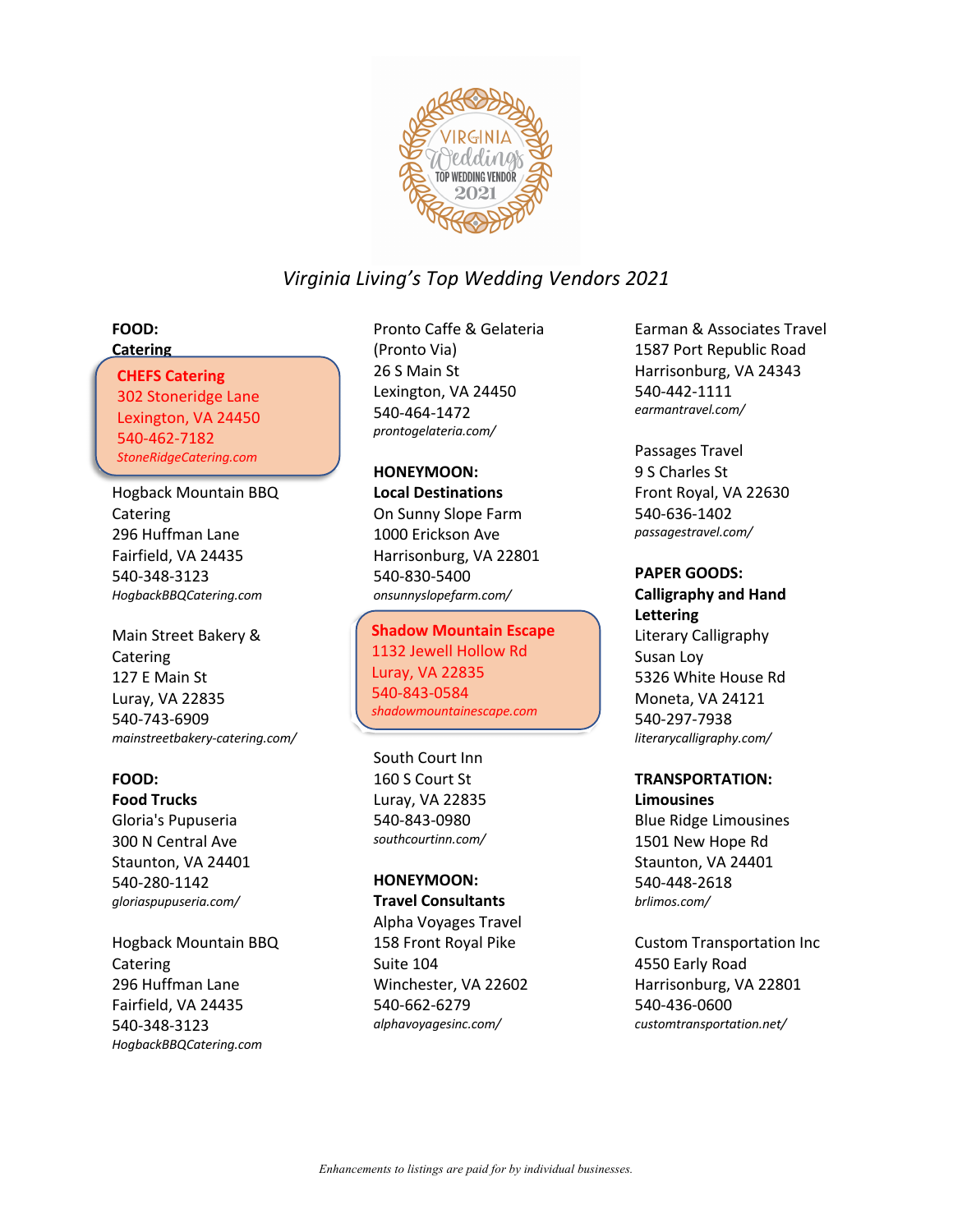

#### **FOOD: Catering**

## CHEFS Catering **CHEFS Catering**

302 Stoneridge Lane 302 Stoneridge Lane Lexington, VA 24450 Lexington, VA 24450 540-462-7182 540-462-7182 *StoneRidgeCatering.com StoneRidgeCatering.com*

Hogback Mountain BBQ Catering 296 Huffman Lane Fairfield, VA 24435 540-348-3123 *HogbackBBQCatering.com*

Main Street Bakery & Catering 127 E Main St Luray, VA 22835 540-743-6909 *mainstreetbakery-catering.com/*

### **FOOD:**

**Food Trucks** Gloria's Pupuseria 300 N Central Ave Staunton, VA 24401 540-280-1142 *gloriaspupuseria.com/*

Hogback Mountain BBQ Catering 296 Huffman Lane Fairfield, VA 24435 540-348-3123 *HogbackBBQCatering.com*

Pronto Caffe & Gelateria (Pronto Via) 26 S Main St Lexington, VA 24450 540-464-1472 *prontogelateria.com/*

**HONEYMOON: Local Destinations** On Sunny Slope Farm 1000 Erickson Ave Harrisonburg, VA 22801 540-830-5400 *onsunnyslopefarm.com/*

Shadow Mountain Escape **Shadow Mountain Escape** 1132 Jewell Hollow Rd 1132 Jewell Hollow Rd Luray, VA 22835 Luray, VA 22835 540-843-0584 540-843-0584 *shadowmountainescape.com/ shadowmountainescape.com*

South Court Inn 160 S Court St Luray, VA 22835 540-843-0980 *southcourtinn.com/*

## **HONEYMOON:**

**Travel Consultants** Alpha Voyages Travel 158 Front Royal Pike Suite 104 Winchester, VA 22602 540-662-6279 *alphavoyagesinc.com/*

Earman & Associates Travel 1587 Port Republic Road Harrisonburg, VA 24343 540-442-1111 *earmantravel.com/*

Passages Travel 9 S Charles St Front Royal, VA 22630 540-636-1402 *passagestravel.com/*

### **PAPER GOODS:**

**Calligraphy and Hand Lettering** Literary Calligraphy Susan Loy 5326 White House Rd Moneta, VA 24121 540-297-7938 *literarycalligraphy.com/*

## **TRANSPORTATION:**

**Limousines** Blue Ridge Limousines 1501 New Hope Rd Staunton, VA 24401 540-448-2618 *brlimos.com/*

Custom Transportation Inc 4550 Early Road Harrisonburg, VA 22801 540-436-0600 *customtransportation.net/*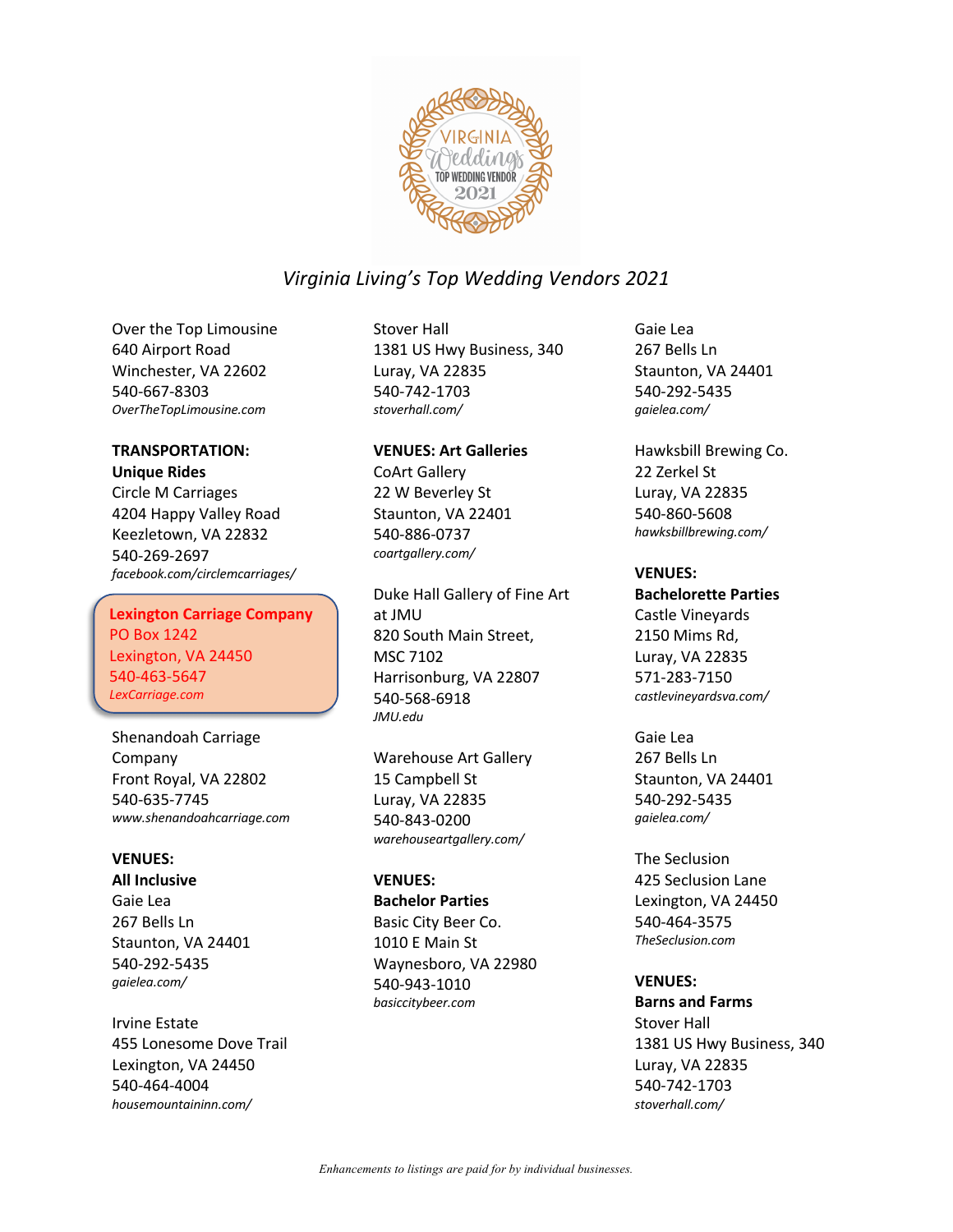

Over the Top Limousine 640 Airport Road Winchester, VA 22602 540-667-8303 *OverTheTopLimousine.com*

## **TRANSPORTATION:**

#### **Unique Rides**

Circle M Carriages 4204 Happy Valley Road Keezletown, VA 22832 540-269-2697 *facebook.com/circlemcarriages/*

### Lexington Carriage Company **Lexington Carriage Company** PO Box 1242 PO Box 1242 Lexington, VA 24450 Lexington, VA 24450 540-463-5647 540-463-5647 *LexCarriage.com LexCarriage.com*

Shenandoah Carriage Company Front Royal, VA 22802 540-635-7745 *www.shenandoahcarriage.com*

### **VENUES:**

**All Inclusive** Gaie Lea 267 Bells Ln Staunton, VA 24401 540-292-5435 *gaielea.com/*

Irvine Estate 455 Lonesome Dove Trail Lexington, VA 24450 540-464-4004 *housemountaininn.com/*

Stover Hall 1381 US Hwy Business, 340 Luray, VA 22835 540-742-1703 *stoverhall.com/*

**VENUES: Art Galleries** CoArt Gallery 22 W Beverley St Staunton, VA 22401 540-886-0737 *coartgallery.com/*

Duke Hall Gallery of Fine Art at JMU 820 South Main Street, MSC 7102 Harrisonburg, VA 22807 540-568-6918 *JMU.edu*

Warehouse Art Gallery 15 Campbell St Luray, VA 22835 540-843-0200 *warehouseartgallery.com/*

### **VENUES:**

**Bachelor Parties** Basic City Beer Co. 1010 E Main St Waynesboro, VA 22980 540-943-1010 *basiccitybeer.com*

Gaie Lea 267 Bells Ln Staunton, VA 24401 540-292-5435 *gaielea.com/*

Hawksbill Brewing Co. 22 Zerkel St Luray, VA 22835 540-860-5608 *hawksbillbrewing.com/*

### **VENUES:**

**Bachelorette Parties** Castle Vineyards 2150 Mims Rd, Luray, VA 22835 571-283-7150 *castlevineyardsva.com/*

Gaie Lea 267 Bells Ln Staunton, VA 24401 540-292-5435 *gaielea.com/*

The Seclusion 425 Seclusion Lane Lexington, VA 24450 540-464-3575 *TheSeclusion.com*

**VENUES: Barns and Farms** Stover Hall 1381 US Hwy Business, 340 Luray, VA 22835 540-742-1703 *stoverhall.com/*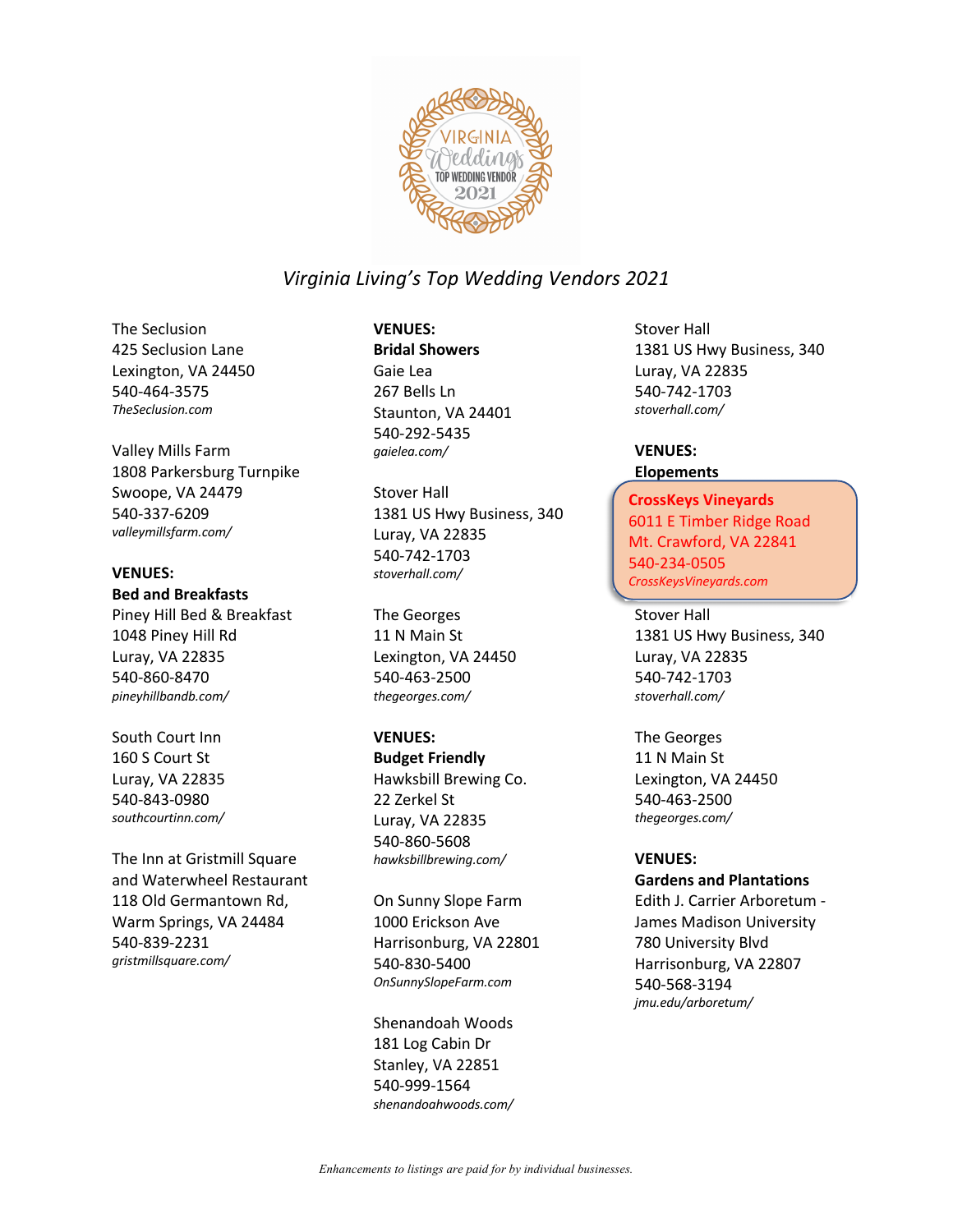

The Seclusion 425 Seclusion Lane Lexington, VA 24450 540-464-3575 *TheSeclusion.com*

Valley Mills Farm 1808 Parkersburg Turnpike Swoope, VA 24479 540-337-6209 *valleymillsfarm.com/*

### **VENUES:**

**Bed and Breakfasts**

Piney Hill Bed & Breakfast 1048 Piney Hill Rd Luray, VA 22835 540-860-8470 *pineyhillbandb.com/*

South Court Inn 160 S Court St Luray, VA 22835 540-843-0980 *southcourtinn.com/*

The Inn at Gristmill Square and Waterwheel Restaurant 118 Old Germantown Rd, Warm Springs, VA 24484 540-839-2231 *gristmillsquare.com/*

## **VENUES:**

**Bridal Showers** Gaie Lea 267 Bells Ln Staunton, VA 24401 540-292-5435 *gaielea.com/*

Stover Hall 1381 US Hwy Business, 340 Luray, VA 22835 540-742-1703 *stoverhall.com/*

The Georges 11 N Main St Lexington, VA 24450 540-463-2500 *thegeorges.com/*

#### **VENUES:**

**Budget Friendly** Hawksbill Brewing Co. 22 Zerkel St Luray, VA 22835 540-860-5608 *hawksbillbrewing.com/*

On Sunny Slope Farm 1000 Erickson Ave Harrisonburg, VA 22801 540-830-5400 *OnSunnySlopeFarm.com*

Shenandoah Woods 181 Log Cabin Dr Stanley, VA 22851 540-999-1564 *shenandoahwoods.com/* Stover Hall 1381 US Hwy Business, 340 Luray, VA 22835 540-742-1703 *stoverhall.com/*

#### **VENUES: Elopements**

## CrossKeys Vineyards **CrossKeys Vineyards** 6011 E Timber Ridge Road 6011 E Timber Ridge Road Mt. Crawford, VA 22841 Mt. Crawford, VA 22841 540-234-0505 540-234-0505 *CrossKeysVineyards.com CrossKeysVineyards.com*

Stover Hall 1381 US Hwy Business, 340 Luray, VA 22835 540-742-1703 *stoverhall.com/*

The Georges 11 N Main St Lexington, VA 24450 540-463-2500 *thegeorges.com/*

#### **VENUES:**

#### **Gardens and Plantations**

Edith J. Carrier Arboretum - James Madison University 780 University Blvd Harrisonburg, VA 22807 540-568-3194 *jmu.edu/arboretum/*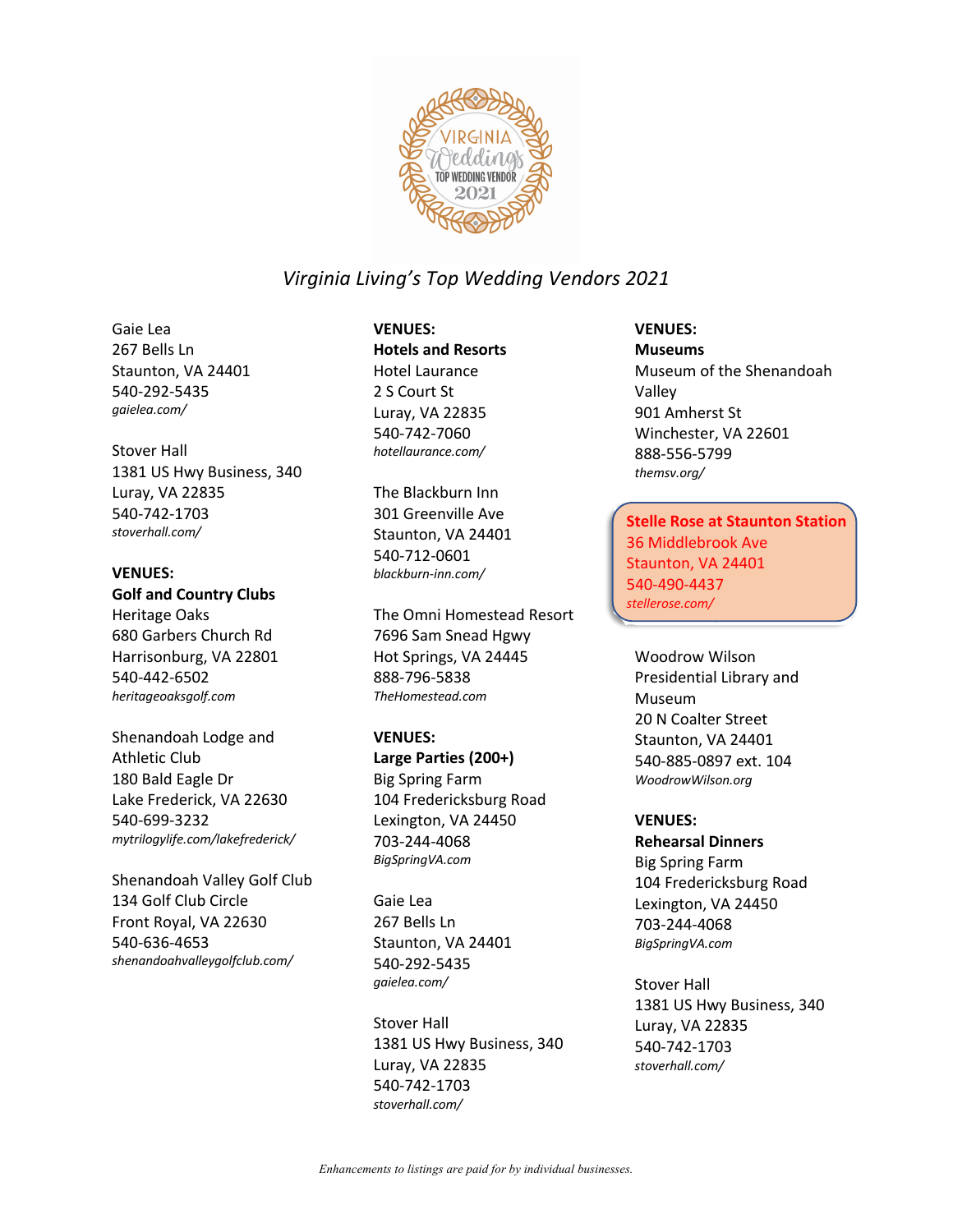

Gaie Lea 267 Bells Ln Staunton, VA 24401 540-292-5435 *gaielea.com/*

Stover Hall 1381 US Hwy Business, 340 Luray, VA 22835 540-742-1703 *stoverhall.com/*

#### **VENUES:**

### **Golf and Country Clubs**

Heritage Oaks 680 Garbers Church Rd Harrisonburg, VA 22801 540-442-6502 *heritageoaksgolf.com*

Shenandoah Lodge and Athletic Club 180 Bald Eagle Dr Lake Frederick, VA 22630 540-699-3232 *mytrilogylife.com/lakefrederick/*

Shenandoah Valley Golf Club 134 Golf Club Circle Front Royal, VA 22630 540-636-4653 *shenandoahvalleygolfclub.com/*

**VENUES: Hotels and Resorts** Hotel Laurance 2 S Court St Luray, VA 22835 540-742-7060 *hotellaurance.com/*

The Blackburn Inn 301 Greenville Ave Staunton, VA 24401 540-712-0601 *blackburn-inn.com/*

The Omni Homestead Resort 7696 Sam Snead Hgwy Hot Springs, VA 24445 888-796-5838 *TheHomestead.com*

#### **VENUES:**

**Large Parties (200+)** Big Spring Farm 104 Fredericksburg Road Lexington, VA 24450 703-244-4068 *BigSpringVA.com*

Gaie Lea 267 Bells Ln Staunton, VA 24401 540-292-5435 *gaielea.com/*

Stover Hall 1381 US Hwy Business, 340 Luray, VA 22835 540-742-1703 *stoverhall.com/*

## **VENUES:**

**Museums** Museum of the Shenandoah Valley 901 Amherst St Winchester, VA 22601 888-556-5799 *themsv.org/*

Stelle Rose at Staunton **Stelle Rose at Staunton Station** Station 36 Middlebrook Ave 36 Middlebrook Ave Staunton, VA 24401 Staunton, VA 24401 540-490-4437 540-490-4437 *stellerose.com/stellerose.com/*

Woodrow Wilson Presidential Library and Museum 20 N Coalter Street Staunton, VA 24401 540-885-0897 ext. 104 *WoodrowWilson.org*

#### **VENUES:**

**Rehearsal Dinners** Big Spring Farm 104 Fredericksburg Road Lexington, VA 24450 703-244-4068 *BigSpringVA.com*

Stover Hall 1381 US Hwy Business, 340 Luray, VA 22835 540-742-1703 *stoverhall.com/*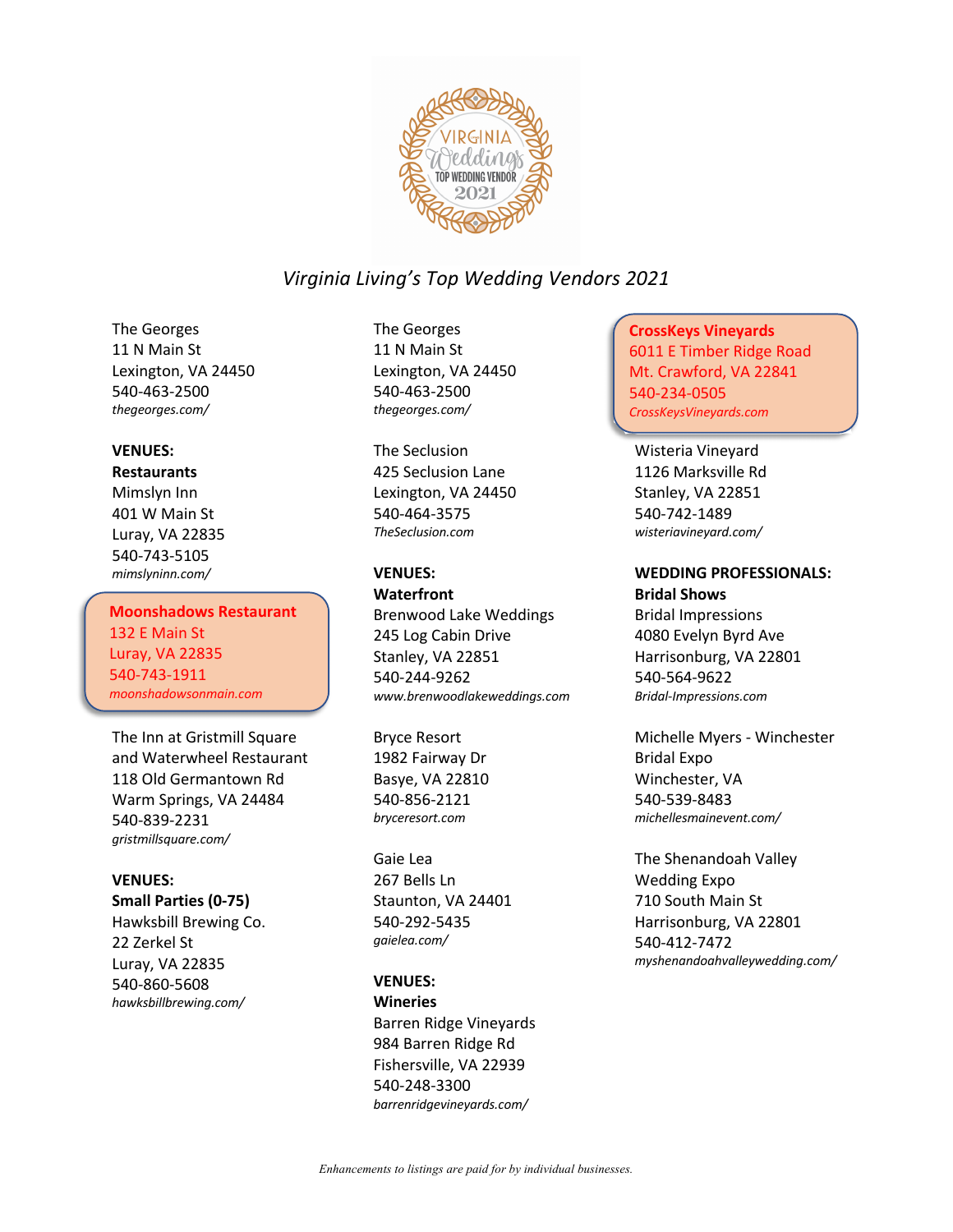

The Georges 11 N Main St Lexington, VA 24450 540-463-2500 *thegeorges.com/*

#### **VENUES:**

#### **Restaurants**

Mimslyn Inn 401 W Main St Luray, VA 22835 540-743-5105 *mimslyninn.com/*

Moonshadows Restaurant **Moonshadows Restaurant** 132 E Main St 132 E Main St Luray, VA 22835 Luray, VA 22835 540-743-1911 540-743-1911 *moonshadowsonmain.com/ moonshadowsonmain.com*

The Inn at Gristmill Square and Waterwheel Restaurant 118 Old Germantown Rd Warm Springs, VA 24484 540-839-2231 *gristmillsquare.com/*

#### **VENUES:**

**Small Parties (0-75)** Hawksbill Brewing Co. 22 Zerkel St Luray, VA 22835 540-860-5608 *hawksbillbrewing.com/*

The Georges 11 N Main St Lexington, VA 24450 540-463-2500 *thegeorges.com/*

The Seclusion 425 Seclusion Lane Lexington, VA 24450 540-464-3575 *TheSeclusion.com*

### **VENUES:**

**Waterfront** Brenwood Lake Weddings 245 Log Cabin Drive Stanley, VA 22851 540-244-9262 *www.brenwoodlakeweddings.com*

Bryce Resort 1982 Fairway Dr Basye, VA 22810 540-856-2121 *bryceresort.com*

Gaie Lea 267 Bells Ln Staunton, VA 24401 540-292-5435 *gaielea.com/*

#### **VENUES:**

**Wineries** Barren Ridge Vineyards 984 Barren Ridge Rd Fishersville, VA 22939 540-248-3300 *barrenridgevineyards.com/*

CrossKeys Vineyards **CrossKeys Vineyards** 6011 E Timber Ridge Road Mt. Crawford, VA 22841 540-234-0505 540-234-0505 *crosskeysvineyards.com/ CrossKeysVineyards.com*

Wisteria Vineyard 1126 Marksville Rd Stanley, VA 22851 540-742-1489 *wisteriavineyard.com/*

### **WEDDING PROFESSIONALS: Bridal Shows**

Bridal Impressions 4080 Evelyn Byrd Ave Harrisonburg, VA 22801 540-564-9622 *Bridal-Impressions.com*

Michelle Myers - Winchester Bridal Expo Winchester, VA 540-539-8483 *michellesmainevent.com/*

The Shenandoah Valley Wedding Expo 710 South Main St Harrisonburg, VA 22801 540-412-7472 *myshenandoahvalleywedding.com/*